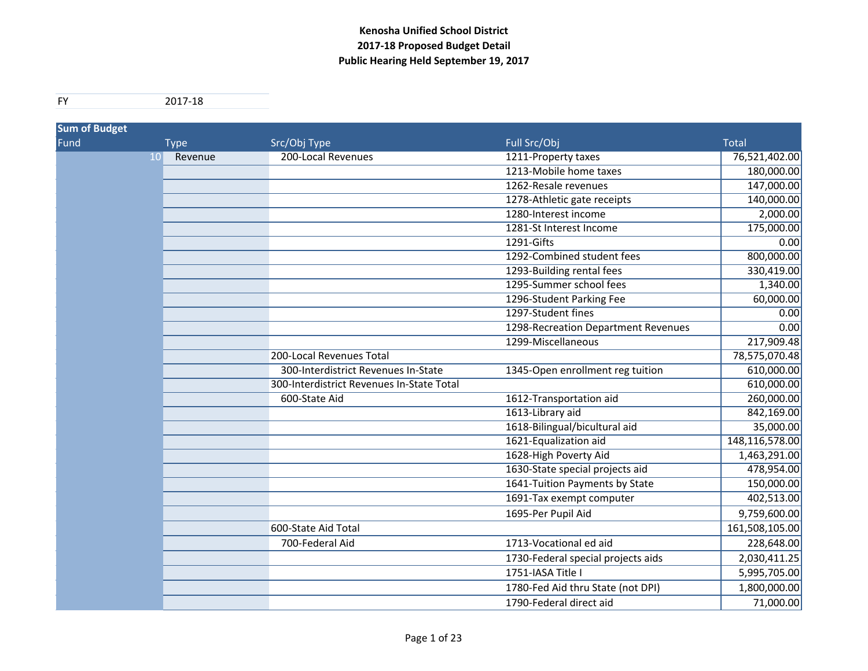| <b>Sum of Budget</b> |                            |                                           |                                     |                |
|----------------------|----------------------------|-------------------------------------------|-------------------------------------|----------------|
| Fund                 | <b>Type</b>                | Src/Obj Type                              | Full Src/Obj                        | <b>Total</b>   |
|                      | Revenue<br>10 <sup>1</sup> | 200-Local Revenues                        | 1211-Property taxes                 | 76,521,402.00  |
|                      |                            |                                           | 1213-Mobile home taxes              | 180,000.00     |
|                      |                            |                                           | 1262-Resale revenues                | 147,000.00     |
|                      |                            |                                           | 1278-Athletic gate receipts         | 140,000.00     |
|                      |                            |                                           | 1280-Interest income                | 2,000.00       |
|                      |                            |                                           | 1281-St Interest Income             | 175,000.00     |
|                      |                            |                                           | 1291-Gifts                          | 0.00           |
|                      |                            |                                           | 1292-Combined student fees          | 800,000.00     |
|                      |                            |                                           | 1293-Building rental fees           | 330,419.00     |
|                      |                            |                                           | 1295-Summer school fees             | 1,340.00       |
|                      |                            |                                           | 1296-Student Parking Fee            | 60,000.00      |
|                      |                            |                                           | 1297-Student fines                  | 0.00           |
|                      |                            |                                           | 1298-Recreation Department Revenues | 0.00           |
|                      |                            |                                           | 1299-Miscellaneous                  | 217,909.48     |
|                      |                            | 200-Local Revenues Total                  |                                     | 78,575,070.48  |
|                      |                            | 300-Interdistrict Revenues In-State       | 1345-Open enrollment reg tuition    | 610,000.00     |
|                      |                            | 300-Interdistrict Revenues In-State Total |                                     | 610,000.00     |
|                      |                            | 600-State Aid                             | 1612-Transportation aid             | 260,000.00     |
|                      |                            |                                           | 1613-Library aid                    | 842,169.00     |
|                      |                            |                                           | 1618-Bilingual/bicultural aid       | 35,000.00      |
|                      |                            |                                           | 1621-Equalization aid               | 148,116,578.00 |
|                      |                            |                                           | 1628-High Poverty Aid               | 1,463,291.00   |
|                      |                            |                                           | 1630-State special projects aid     | 478,954.00     |
|                      |                            |                                           | 1641-Tuition Payments by State      | 150,000.00     |
|                      |                            |                                           | 1691-Tax exempt computer            | 402,513.00     |
|                      |                            |                                           | 1695-Per Pupil Aid                  | 9,759,600.00   |
|                      |                            | 600-State Aid Total                       |                                     | 161,508,105.00 |
|                      |                            | 700-Federal Aid                           | 1713-Vocational ed aid              | 228,648.00     |
|                      |                            |                                           | 1730-Federal special projects aids  | 2,030,411.25   |
|                      |                            |                                           | 1751-IASA Title I                   | 5,995,705.00   |
|                      |                            |                                           | 1780-Fed Aid thru State (not DPI)   | 1,800,000.00   |
|                      |                            |                                           | 1790-Federal direct aid             | 71,000.00      |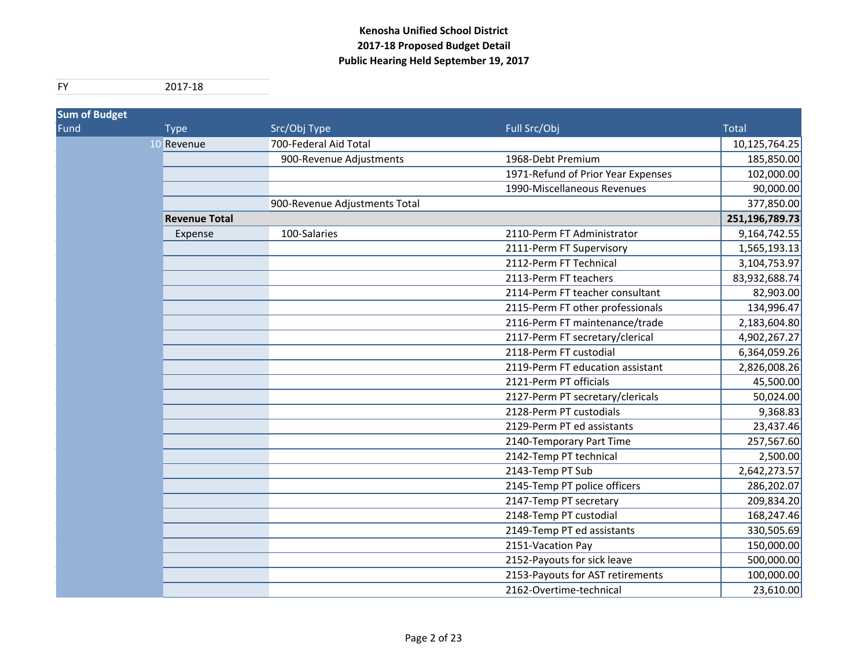| <b>Sum of Budget</b> |                      |                               |                                    |                |
|----------------------|----------------------|-------------------------------|------------------------------------|----------------|
| Fund                 | <b>Type</b>          | Src/Obj Type                  | Full Src/Obj                       | <b>Total</b>   |
|                      | 10 Revenue           | 700-Federal Aid Total         |                                    | 10,125,764.25  |
|                      |                      | 900-Revenue Adjustments       | 1968-Debt Premium                  | 185,850.00     |
|                      |                      |                               | 1971-Refund of Prior Year Expenses | 102,000.00     |
|                      |                      |                               | 1990-Miscellaneous Revenues        | 90,000.00      |
|                      |                      | 900-Revenue Adjustments Total |                                    | 377,850.00     |
|                      | <b>Revenue Total</b> |                               |                                    | 251,196,789.73 |
|                      | Expense              | 100-Salaries                  | 2110-Perm FT Administrator         | 9,164,742.55   |
|                      |                      |                               | 2111-Perm FT Supervisory           | 1,565,193.13   |
|                      |                      |                               | 2112-Perm FT Technical             | 3,104,753.97   |
|                      |                      |                               | 2113-Perm FT teachers              | 83,932,688.74  |
|                      |                      |                               | 2114-Perm FT teacher consultant    | 82,903.00      |
|                      |                      |                               | 2115-Perm FT other professionals   | 134,996.47     |
|                      |                      |                               | 2116-Perm FT maintenance/trade     | 2,183,604.80   |
|                      |                      |                               | 2117-Perm FT secretary/clerical    | 4,902,267.27   |
|                      |                      |                               | 2118-Perm FT custodial             | 6,364,059.26   |
|                      |                      |                               | 2119-Perm FT education assistant   | 2,826,008.26   |
|                      |                      |                               | 2121-Perm PT officials             | 45,500.00      |
|                      |                      |                               | 2127-Perm PT secretary/clericals   | 50,024.00      |
|                      |                      |                               | 2128-Perm PT custodials            | 9,368.83       |
|                      |                      |                               | 2129-Perm PT ed assistants         | 23,437.46      |
|                      |                      |                               | 2140-Temporary Part Time           | 257,567.60     |
|                      |                      |                               | 2142-Temp PT technical             | 2,500.00       |
|                      |                      |                               | 2143-Temp PT Sub                   | 2,642,273.57   |
|                      |                      |                               | 2145-Temp PT police officers       | 286,202.07     |
|                      |                      |                               | 2147-Temp PT secretary             | 209,834.20     |
|                      |                      |                               | 2148-Temp PT custodial             | 168,247.46     |
|                      |                      |                               | 2149-Temp PT ed assistants         | 330,505.69     |
|                      |                      |                               | 2151-Vacation Pay                  | 150,000.00     |
|                      |                      |                               | 2152-Payouts for sick leave        | 500,000.00     |
|                      |                      |                               | 2153-Payouts for AST retirements   | 100,000.00     |
|                      |                      |                               | 2162-Overtime-technical            | 23,610.00      |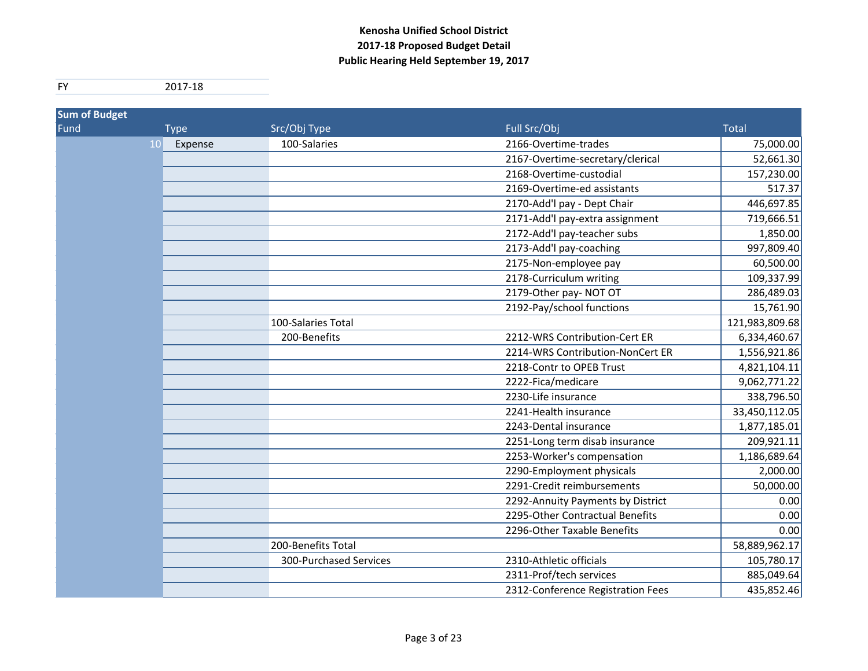| <b>Sum of Budget</b> |               |                        |                                   |                |
|----------------------|---------------|------------------------|-----------------------------------|----------------|
| Fund                 | <b>Type</b>   | Src/Obj Type           | Full Src/Obj                      | <b>Total</b>   |
|                      | 10<br>Expense | 100-Salaries           | 2166-Overtime-trades              | 75,000.00      |
|                      |               |                        | 2167-Overtime-secretary/clerical  | 52,661.30      |
|                      |               |                        | 2168-Overtime-custodial           | 157,230.00     |
|                      |               |                        | 2169-Overtime-ed assistants       | 517.37         |
|                      |               |                        | 2170-Add'l pay - Dept Chair       | 446,697.85     |
|                      |               |                        | 2171-Add'l pay-extra assignment   | 719,666.51     |
|                      |               |                        | 2172-Add'l pay-teacher subs       | 1,850.00       |
|                      |               |                        | 2173-Add'l pay-coaching           | 997,809.40     |
|                      |               |                        | 2175-Non-employee pay             | 60,500.00      |
|                      |               |                        | 2178-Curriculum writing           | 109,337.99     |
|                      |               |                        | 2179-Other pay-NOT OT             | 286,489.03     |
|                      |               |                        | 2192-Pay/school functions         | 15,761.90      |
|                      |               | 100-Salaries Total     |                                   | 121,983,809.68 |
|                      |               | 200-Benefits           | 2212-WRS Contribution-Cert ER     | 6,334,460.67   |
|                      |               |                        | 2214-WRS Contribution-NonCert ER  | 1,556,921.86   |
|                      |               |                        | 2218-Contr to OPEB Trust          | 4,821,104.11   |
|                      |               |                        | 2222-Fica/medicare                | 9,062,771.22   |
|                      |               |                        | 2230-Life insurance               | 338,796.50     |
|                      |               |                        | 2241-Health insurance             | 33,450,112.05  |
|                      |               |                        | 2243-Dental insurance             | 1,877,185.01   |
|                      |               |                        | 2251-Long term disab insurance    | 209,921.11     |
|                      |               |                        | 2253-Worker's compensation        | 1,186,689.64   |
|                      |               |                        | 2290-Employment physicals         | 2,000.00       |
|                      |               |                        | 2291-Credit reimbursements        | 50,000.00      |
|                      |               |                        | 2292-Annuity Payments by District | 0.00           |
|                      |               |                        | 2295-Other Contractual Benefits   | 0.00           |
|                      |               |                        | 2296-Other Taxable Benefits       | 0.00           |
|                      |               | 200-Benefits Total     |                                   | 58,889,962.17  |
|                      |               | 300-Purchased Services | 2310-Athletic officials           | 105,780.17     |
|                      |               |                        | 2311-Prof/tech services           | 885,049.64     |
|                      |               |                        | 2312-Conference Registration Fees | 435,852.46     |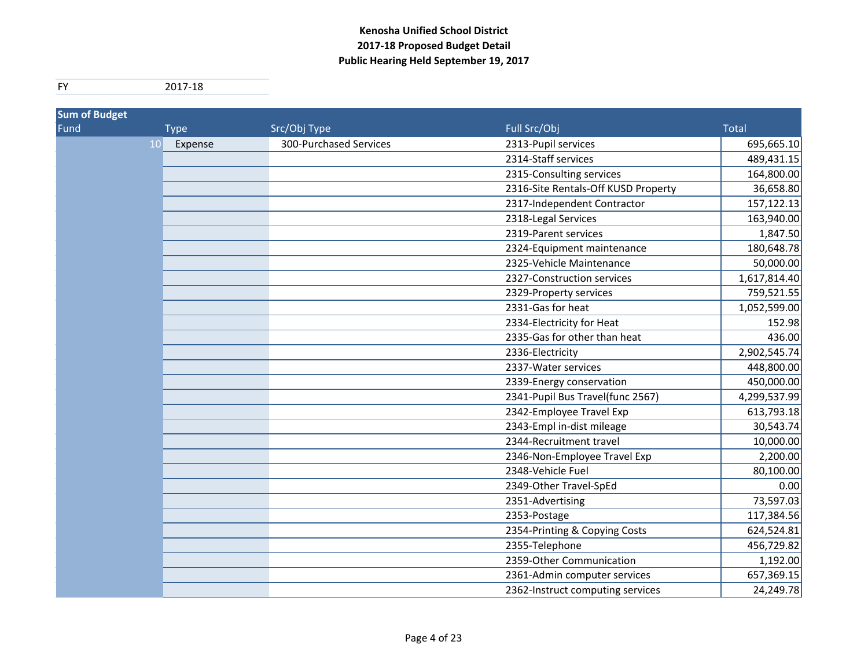| <b>Sum of Budget</b> |             |         |                        |                                     |              |
|----------------------|-------------|---------|------------------------|-------------------------------------|--------------|
| Fund                 | <b>Type</b> |         | Src/Obj Type           | Full Src/Obj                        | <b>Total</b> |
|                      | 10          | Expense | 300-Purchased Services | 2313-Pupil services                 | 695,665.10   |
|                      |             |         |                        | 2314-Staff services                 | 489,431.15   |
|                      |             |         |                        | 2315-Consulting services            | 164,800.00   |
|                      |             |         |                        | 2316-Site Rentals-Off KUSD Property | 36,658.80    |
|                      |             |         |                        | 2317-Independent Contractor         | 157,122.13   |
|                      |             |         |                        | 2318-Legal Services                 | 163,940.00   |
|                      |             |         |                        | 2319-Parent services                | 1,847.50     |
|                      |             |         |                        | 2324-Equipment maintenance          | 180,648.78   |
|                      |             |         |                        | 2325-Vehicle Maintenance            | 50,000.00    |
|                      |             |         |                        | 2327-Construction services          | 1,617,814.40 |
|                      |             |         |                        | 2329-Property services              | 759,521.55   |
|                      |             |         |                        | 2331-Gas for heat                   | 1,052,599.00 |
|                      |             |         |                        | 2334-Electricity for Heat           | 152.98       |
|                      |             |         |                        | 2335-Gas for other than heat        | 436.00       |
|                      |             |         |                        | 2336-Electricity                    | 2,902,545.74 |
|                      |             |         |                        | 2337-Water services                 | 448,800.00   |
|                      |             |         |                        | 2339-Energy conservation            | 450,000.00   |
|                      |             |         |                        | 2341-Pupil Bus Travel(func 2567)    | 4,299,537.99 |
|                      |             |         |                        | 2342-Employee Travel Exp            | 613,793.18   |
|                      |             |         |                        | 2343-Empl in-dist mileage           | 30,543.74    |
|                      |             |         |                        | 2344-Recruitment travel             | 10,000.00    |
|                      |             |         |                        | 2346-Non-Employee Travel Exp        | 2,200.00     |
|                      |             |         |                        | 2348-Vehicle Fuel                   | 80,100.00    |
|                      |             |         |                        | 2349-Other Travel-SpEd              | 0.00         |
|                      |             |         |                        | 2351-Advertising                    | 73,597.03    |
|                      |             |         |                        | 2353-Postage                        | 117,384.56   |
|                      |             |         |                        | 2354-Printing & Copying Costs       | 624,524.81   |
|                      |             |         |                        | 2355-Telephone                      | 456,729.82   |
|                      |             |         |                        | 2359-Other Communication            | 1,192.00     |
|                      |             |         |                        | 2361-Admin computer services        | 657,369.15   |
|                      |             |         |                        | 2362-Instruct computing services    | 24,249.78    |
|                      |             |         |                        |                                     |              |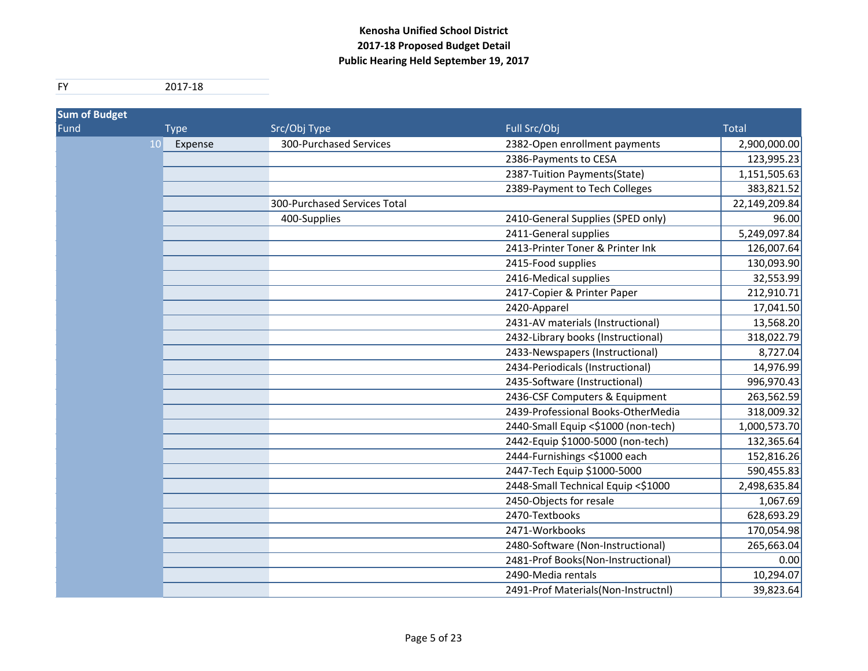| <b>Sum of Budget</b> |             |                              |                                     |               |
|----------------------|-------------|------------------------------|-------------------------------------|---------------|
| Fund                 | <b>Type</b> | Src/Obj Type                 | Full Src/Obj                        | <b>Total</b>  |
| <b>10</b>            | Expense     | 300-Purchased Services       | 2382-Open enrollment payments       | 2,900,000.00  |
|                      |             |                              | 2386-Payments to CESA               | 123,995.23    |
|                      |             |                              | 2387-Tuition Payments(State)        | 1,151,505.63  |
|                      |             |                              | 2389-Payment to Tech Colleges       | 383,821.52    |
|                      |             | 300-Purchased Services Total |                                     | 22,149,209.84 |
|                      |             | 400-Supplies                 | 2410-General Supplies (SPED only)   | 96.00         |
|                      |             |                              | 2411-General supplies               | 5,249,097.84  |
|                      |             |                              | 2413-Printer Toner & Printer Ink    | 126,007.64    |
|                      |             |                              | 2415-Food supplies                  | 130,093.90    |
|                      |             |                              | 2416-Medical supplies               | 32,553.99     |
|                      |             |                              | 2417-Copier & Printer Paper         | 212,910.71    |
|                      |             |                              | 2420-Apparel                        | 17,041.50     |
|                      |             |                              | 2431-AV materials (Instructional)   | 13,568.20     |
|                      |             |                              | 2432-Library books (Instructional)  | 318,022.79    |
|                      |             |                              | 2433-Newspapers (Instructional)     | 8,727.04      |
|                      |             |                              | 2434-Periodicals (Instructional)    | 14,976.99     |
|                      |             |                              | 2435-Software (Instructional)       | 996,970.43    |
|                      |             |                              | 2436-CSF Computers & Equipment      | 263,562.59    |
|                      |             |                              | 2439-Professional Books-OtherMedia  | 318,009.32    |
|                      |             |                              | 2440-Small Equip <\$1000 (non-tech) | 1,000,573.70  |
|                      |             |                              | 2442-Equip \$1000-5000 (non-tech)   | 132,365.64    |
|                      |             |                              | 2444-Furnishings <\$1000 each       | 152,816.26    |
|                      |             |                              | 2447-Tech Equip \$1000-5000         | 590,455.83    |
|                      |             |                              | 2448-Small Technical Equip <\$1000  | 2,498,635.84  |
|                      |             |                              | 2450-Objects for resale             | 1,067.69      |
|                      |             |                              | 2470-Textbooks                      | 628,693.29    |
|                      |             |                              | 2471-Workbooks                      | 170,054.98    |
|                      |             |                              | 2480-Software (Non-Instructional)   | 265,663.04    |
|                      |             |                              | 2481-Prof Books(Non-Instructional)  | 0.00          |
|                      |             |                              | 2490-Media rentals                  | 10,294.07     |
|                      |             |                              | 2491-Prof Materials(Non-Instructnl) | 39,823.64     |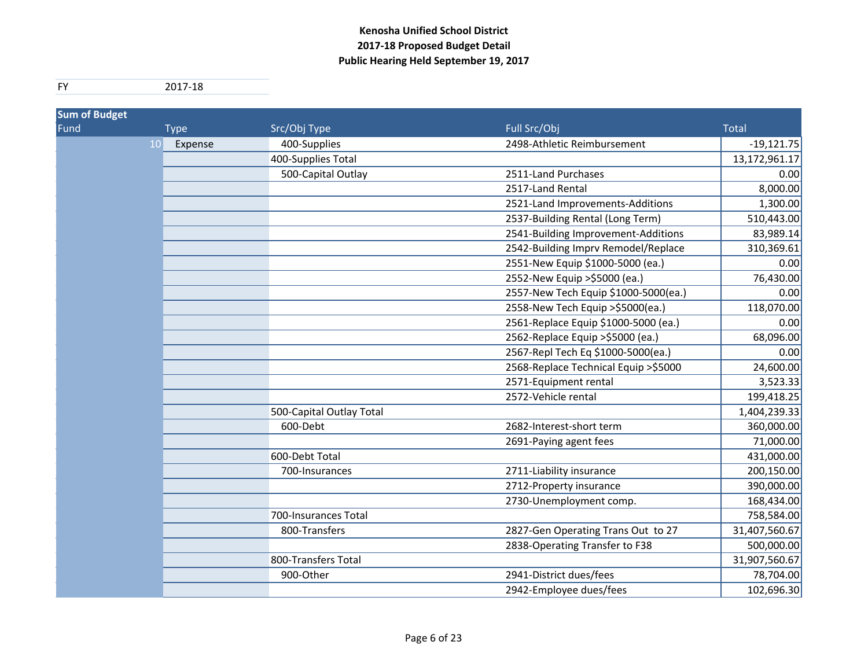| <b>Sum of Budget</b> |               |                          |                                       |               |
|----------------------|---------------|--------------------------|---------------------------------------|---------------|
| Fund                 | <b>Type</b>   | Src/Obj Type             | Full Src/Obj                          | <b>Total</b>  |
|                      | 10<br>Expense | 400-Supplies             | 2498-Athletic Reimbursement           | $-19,121.75$  |
|                      |               | 400-Supplies Total       |                                       | 13,172,961.17 |
|                      |               | 500-Capital Outlay       | 2511-Land Purchases                   | 0.00          |
|                      |               |                          | 2517-Land Rental                      | 8,000.00      |
|                      |               |                          | 2521-Land Improvements-Additions      | 1,300.00      |
|                      |               |                          | 2537-Building Rental (Long Term)      | 510,443.00    |
|                      |               |                          | 2541-Building Improvement-Additions   | 83,989.14     |
|                      |               |                          | 2542-Building Imprv Remodel/Replace   | 310,369.61    |
|                      |               |                          | 2551-New Equip \$1000-5000 (ea.)      | 0.00          |
|                      |               |                          | 2552-New Equip >\$5000 (ea.)          | 76,430.00     |
|                      |               |                          | 2557-New Tech Equip \$1000-5000(ea.)  | 0.00          |
|                      |               |                          | 2558-New Tech Equip > \$5000 (ea.)    | 118,070.00    |
|                      |               |                          | 2561-Replace Equip \$1000-5000 (ea.)  | 0.00          |
|                      |               |                          | 2562-Replace Equip >\$5000 (ea.)      | 68,096.00     |
|                      |               |                          | 2567-Repl Tech Eq \$1000-5000(ea.)    | 0.00          |
|                      |               |                          | 2568-Replace Technical Equip > \$5000 | 24,600.00     |
|                      |               |                          | 2571-Equipment rental                 | 3,523.33      |
|                      |               |                          | 2572-Vehicle rental                   | 199,418.25    |
|                      |               | 500-Capital Outlay Total |                                       | 1,404,239.33  |
|                      |               | 600-Debt                 | 2682-Interest-short term              | 360,000.00    |
|                      |               |                          | 2691-Paying agent fees                | 71,000.00     |
|                      |               | 600-Debt Total           |                                       | 431,000.00    |
|                      |               | 700-Insurances           | 2711-Liability insurance              | 200,150.00    |
|                      |               |                          | 2712-Property insurance               | 390,000.00    |
|                      |               |                          | 2730-Unemployment comp.               | 168,434.00    |
|                      |               | 700-Insurances Total     |                                       | 758,584.00    |
|                      |               | 800-Transfers            | 2827-Gen Operating Trans Out to 27    | 31,407,560.67 |
|                      |               |                          | 2838-Operating Transfer to F38        | 500,000.00    |
|                      |               | 800-Transfers Total      |                                       | 31,907,560.67 |
|                      |               | 900-Other                | 2941-District dues/fees               | 78,704.00     |
|                      |               |                          | 2942-Employee dues/fees               | 102,696.30    |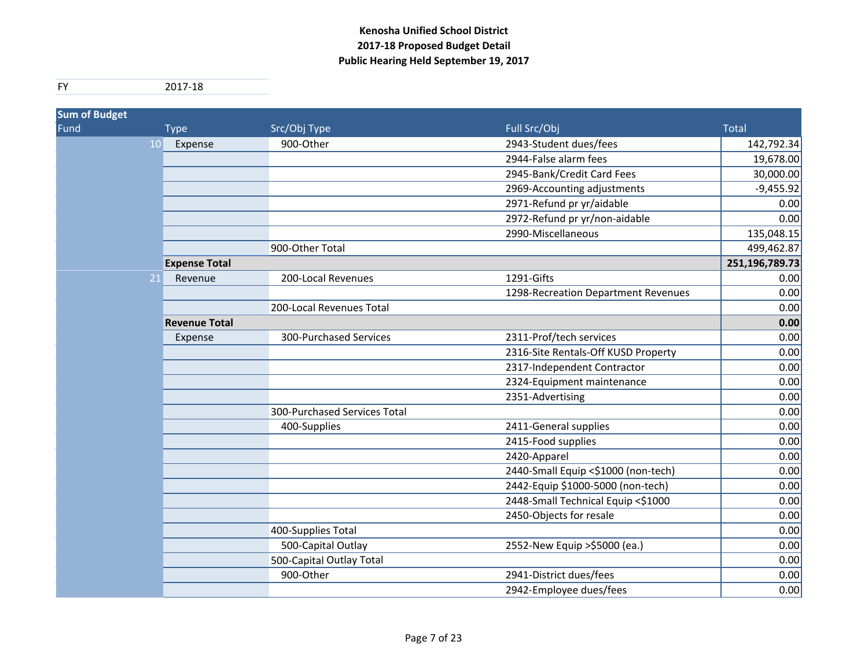| <b>Sum of Budget</b> |                      |                              |                                     |                |
|----------------------|----------------------|------------------------------|-------------------------------------|----------------|
| Fund                 | <b>Type</b>          | Src/Obj Type                 | Full Src/Obj                        | <b>Total</b>   |
| 10                   | Expense              | 900-Other                    | 2943-Student dues/fees              | 142,792.34     |
|                      |                      |                              | 2944-False alarm fees               | 19,678.00      |
|                      |                      |                              | 2945-Bank/Credit Card Fees          | 30,000.00      |
|                      |                      |                              | 2969-Accounting adjustments         | $-9,455.92$    |
|                      |                      |                              | 2971-Refund pr yr/aidable           | 0.00           |
|                      |                      |                              | 2972-Refund pr yr/non-aidable       | 0.00           |
|                      |                      |                              | 2990-Miscellaneous                  | 135,048.15     |
|                      |                      | 900-Other Total              |                                     | 499,462.87     |
|                      | <b>Expense Total</b> |                              |                                     | 251,196,789.73 |
| 21                   | Revenue              | 200-Local Revenues           | 1291-Gifts                          | 0.00           |
|                      |                      |                              | 1298-Recreation Department Revenues | 0.00           |
|                      |                      | 200-Local Revenues Total     |                                     | 0.00           |
|                      | <b>Revenue Total</b> |                              |                                     | 0.00           |
|                      | Expense              | 300-Purchased Services       | 2311-Prof/tech services             | 0.00           |
|                      |                      |                              | 2316-Site Rentals-Off KUSD Property | 0.00           |
|                      |                      |                              | 2317-Independent Contractor         | 0.00           |
|                      |                      |                              | 2324-Equipment maintenance          | 0.00           |
|                      |                      |                              | 2351-Advertising                    | 0.00           |
|                      |                      | 300-Purchased Services Total |                                     | 0.00           |
|                      |                      | 400-Supplies                 | 2411-General supplies               | 0.00           |
|                      |                      |                              | 2415-Food supplies                  | 0.00           |
|                      |                      |                              | 2420-Apparel                        | 0.00           |
|                      |                      |                              | 2440-Small Equip <\$1000 (non-tech) | 0.00           |
|                      |                      |                              | 2442-Equip \$1000-5000 (non-tech)   | 0.00           |
|                      |                      |                              | 2448-Small Technical Equip <\$1000  | 0.00           |
|                      |                      |                              | 2450-Objects for resale             | 0.00           |
|                      |                      | 400-Supplies Total           |                                     | 0.00           |
|                      |                      | 500-Capital Outlay           | 2552-New Equip >\$5000 (ea.)        | 0.00           |
|                      |                      | 500-Capital Outlay Total     |                                     | 0.00           |
|                      |                      | 900-Other                    | 2941-District dues/fees             | 0.00           |
|                      |                      |                              | 2942-Employee dues/fees             | 0.00           |
|                      |                      |                              |                                     |                |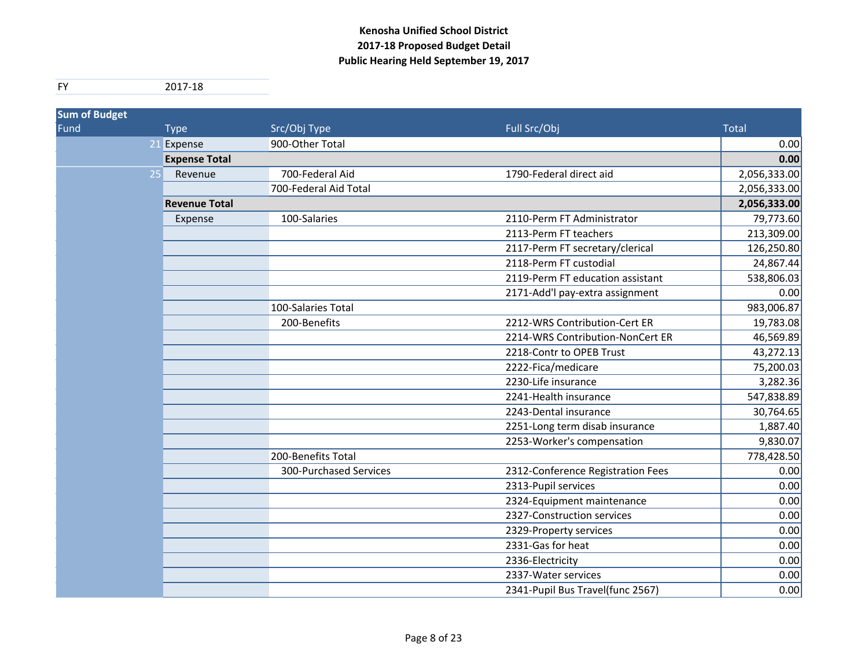| <b>Sum of Budget</b> |                      |                        |                                   |              |
|----------------------|----------------------|------------------------|-----------------------------------|--------------|
| Fund                 | <b>Type</b>          | Src/Obj Type           | Full Src/Obj                      | <b>Total</b> |
| 21                   | Expense              | 900-Other Total        |                                   | 0.00         |
|                      | <b>Expense Total</b> |                        |                                   | 0.00         |
| 25                   | Revenue              | 700-Federal Aid        | 1790-Federal direct aid           | 2,056,333.00 |
|                      |                      | 700-Federal Aid Total  |                                   | 2,056,333.00 |
|                      | <b>Revenue Total</b> |                        |                                   | 2,056,333.00 |
|                      | Expense              | 100-Salaries           | 2110-Perm FT Administrator        | 79,773.60    |
|                      |                      |                        | 2113-Perm FT teachers             | 213,309.00   |
|                      |                      |                        | 2117-Perm FT secretary/clerical   | 126,250.80   |
|                      |                      |                        | 2118-Perm FT custodial            | 24,867.44    |
|                      |                      |                        | 2119-Perm FT education assistant  | 538,806.03   |
|                      |                      |                        | 2171-Add'l pay-extra assignment   | 0.00         |
|                      |                      | 100-Salaries Total     |                                   | 983,006.87   |
|                      |                      | 200-Benefits           | 2212-WRS Contribution-Cert ER     | 19,783.08    |
|                      |                      |                        | 2214-WRS Contribution-NonCert ER  | 46,569.89    |
|                      |                      |                        | 2218-Contr to OPEB Trust          | 43,272.13    |
|                      |                      |                        | 2222-Fica/medicare                | 75,200.03    |
|                      |                      |                        | 2230-Life insurance               | 3,282.36     |
|                      |                      |                        | 2241-Health insurance             | 547,838.89   |
|                      |                      |                        | 2243-Dental insurance             | 30,764.65    |
|                      |                      |                        | 2251-Long term disab insurance    | 1,887.40     |
|                      |                      |                        | 2253-Worker's compensation        | 9,830.07     |
|                      |                      | 200-Benefits Total     |                                   | 778,428.50   |
|                      |                      | 300-Purchased Services | 2312-Conference Registration Fees | 0.00         |
|                      |                      |                        | 2313-Pupil services               | 0.00         |
|                      |                      |                        | 2324-Equipment maintenance        | 0.00         |
|                      |                      |                        | 2327-Construction services        | 0.00         |
|                      |                      |                        | 2329-Property services            | 0.00         |
|                      |                      |                        | 2331-Gas for heat                 | 0.00         |
|                      |                      |                        | 2336-Electricity                  | 0.00         |
|                      |                      |                        | 2337-Water services               | 0.00         |
|                      |                      |                        | 2341-Pupil Bus Travel(func 2567)  | 0.00         |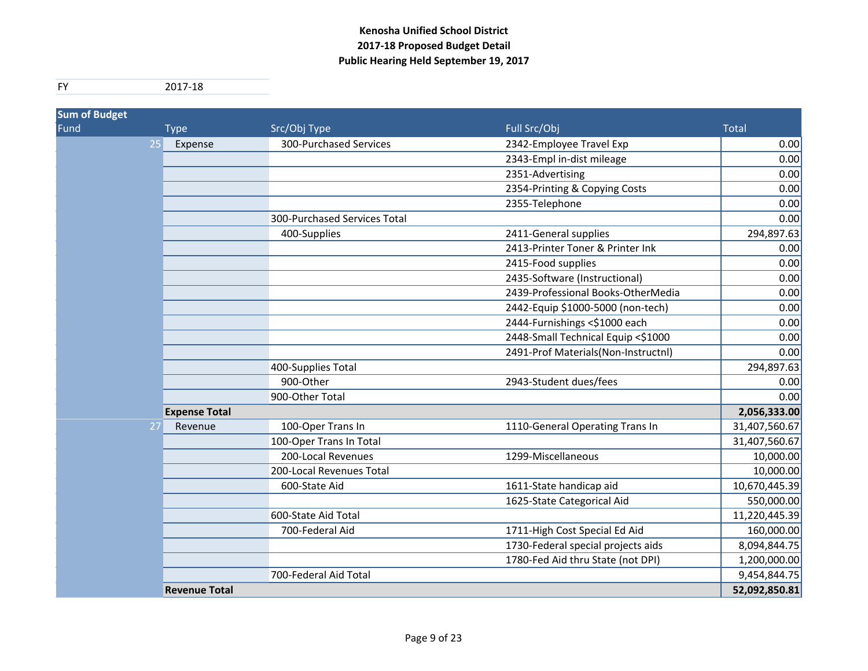| <b>Sum of Budget</b> |                      |                              |                                     |               |
|----------------------|----------------------|------------------------------|-------------------------------------|---------------|
| Fund                 | <b>Type</b>          | Src/Obj Type                 | Full Src/Obj                        | <b>Total</b>  |
| 25                   | Expense              | 300-Purchased Services       | 2342-Employee Travel Exp            | 0.00          |
|                      |                      |                              | 2343-Empl in-dist mileage           | 0.00          |
|                      |                      |                              | 2351-Advertising                    | 0.00          |
|                      |                      |                              | 2354-Printing & Copying Costs       | 0.00          |
|                      |                      |                              | 2355-Telephone                      | 0.00          |
|                      |                      | 300-Purchased Services Total |                                     | 0.00          |
|                      |                      | 400-Supplies                 | 2411-General supplies               | 294,897.63    |
|                      |                      |                              | 2413-Printer Toner & Printer Ink    | 0.00          |
|                      |                      |                              | 2415-Food supplies                  | 0.00          |
|                      |                      |                              | 2435-Software (Instructional)       | 0.00          |
|                      |                      |                              | 2439-Professional Books-OtherMedia  | 0.00          |
|                      |                      |                              | 2442-Equip \$1000-5000 (non-tech)   | 0.00          |
|                      |                      |                              | 2444-Furnishings <\$1000 each       | 0.00          |
|                      |                      |                              | 2448-Small Technical Equip <\$1000  | 0.00          |
|                      |                      |                              | 2491-Prof Materials(Non-Instructnl) | 0.00          |
|                      |                      | 400-Supplies Total           |                                     | 294,897.63    |
|                      |                      | 900-Other                    | 2943-Student dues/fees              | 0.00          |
|                      |                      | 900-Other Total              |                                     | 0.00          |
|                      | <b>Expense Total</b> |                              |                                     | 2,056,333.00  |
| 27                   | Revenue              | 100-Oper Trans In            | 1110-General Operating Trans In     | 31,407,560.67 |
|                      |                      | 100-Oper Trans In Total      |                                     | 31,407,560.67 |
|                      |                      | 200-Local Revenues           | 1299-Miscellaneous                  | 10,000.00     |
|                      |                      | 200-Local Revenues Total     |                                     | 10,000.00     |
|                      |                      | 600-State Aid                | 1611-State handicap aid             | 10,670,445.39 |
|                      |                      |                              | 1625-State Categorical Aid          | 550,000.00    |
|                      |                      | 600-State Aid Total          |                                     | 11,220,445.39 |
|                      |                      | 700-Federal Aid              | 1711-High Cost Special Ed Aid       | 160,000.00    |
|                      |                      |                              | 1730-Federal special projects aids  | 8,094,844.75  |
|                      |                      |                              | 1780-Fed Aid thru State (not DPI)   | 1,200,000.00  |
|                      |                      | 700-Federal Aid Total        |                                     | 9,454,844.75  |
|                      | <b>Revenue Total</b> |                              |                                     | 52,092,850.81 |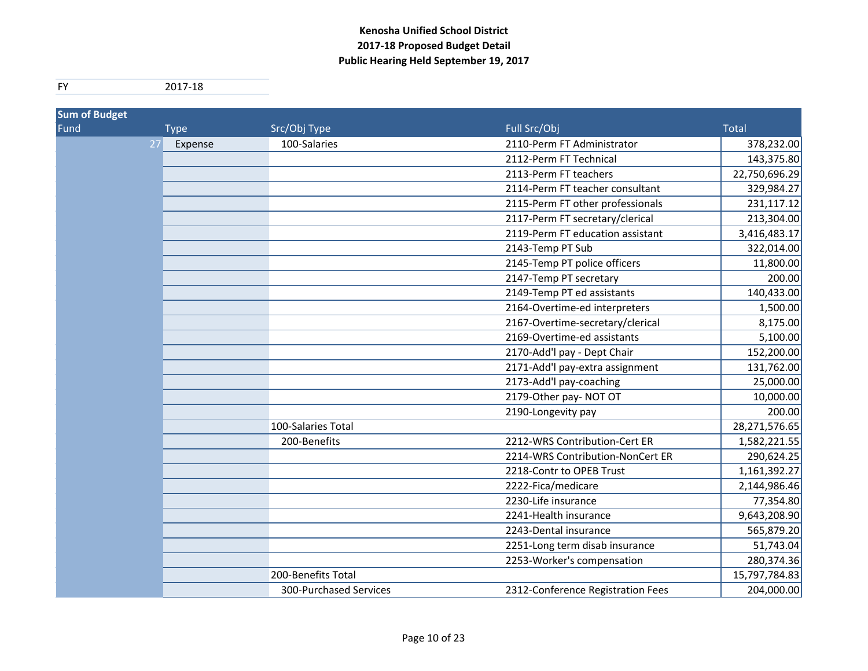| <b>Sum of Budget</b> |             |                        |                                   |               |
|----------------------|-------------|------------------------|-----------------------------------|---------------|
| Fund                 | <b>Type</b> | Src/Obj Type           | Full Src/Obj                      | <b>Total</b>  |
| 27                   | Expense     | 100-Salaries           | 2110-Perm FT Administrator        | 378,232.00    |
|                      |             |                        | 2112-Perm FT Technical            | 143,375.80    |
|                      |             |                        | 2113-Perm FT teachers             | 22,750,696.29 |
|                      |             |                        | 2114-Perm FT teacher consultant   | 329,984.27    |
|                      |             |                        | 2115-Perm FT other professionals  | 231,117.12    |
|                      |             |                        | 2117-Perm FT secretary/clerical   | 213,304.00    |
|                      |             |                        | 2119-Perm FT education assistant  | 3,416,483.17  |
|                      |             |                        | 2143-Temp PT Sub                  | 322,014.00    |
|                      |             |                        | 2145-Temp PT police officers      | 11,800.00     |
|                      |             |                        | 2147-Temp PT secretary            | 200.00        |
|                      |             |                        | 2149-Temp PT ed assistants        | 140,433.00    |
|                      |             |                        | 2164-Overtime-ed interpreters     | 1,500.00      |
|                      |             |                        | 2167-Overtime-secretary/clerical  | 8,175.00      |
|                      |             |                        | 2169-Overtime-ed assistants       | 5,100.00      |
|                      |             |                        | 2170-Add'l pay - Dept Chair       | 152,200.00    |
|                      |             |                        | 2171-Add'l pay-extra assignment   | 131,762.00    |
|                      |             |                        | 2173-Add'l pay-coaching           | 25,000.00     |
|                      |             |                        | 2179-Other pay-NOT OT             | 10,000.00     |
|                      |             |                        | 2190-Longevity pay                | 200.00        |
|                      |             | 100-Salaries Total     |                                   | 28,271,576.65 |
|                      |             | 200-Benefits           | 2212-WRS Contribution-Cert ER     | 1,582,221.55  |
|                      |             |                        | 2214-WRS Contribution-NonCert ER  | 290,624.25    |
|                      |             |                        | 2218-Contr to OPEB Trust          | 1,161,392.27  |
|                      |             |                        | 2222-Fica/medicare                | 2,144,986.46  |
|                      |             |                        | 2230-Life insurance               | 77,354.80     |
|                      |             |                        | 2241-Health insurance             | 9,643,208.90  |
|                      |             |                        | 2243-Dental insurance             | 565,879.20    |
|                      |             |                        | 2251-Long term disab insurance    | 51,743.04     |
|                      |             |                        | 2253-Worker's compensation        | 280,374.36    |
|                      |             | 200-Benefits Total     |                                   | 15,797,784.83 |
|                      |             | 300-Purchased Services | 2312-Conference Registration Fees | 204,000.00    |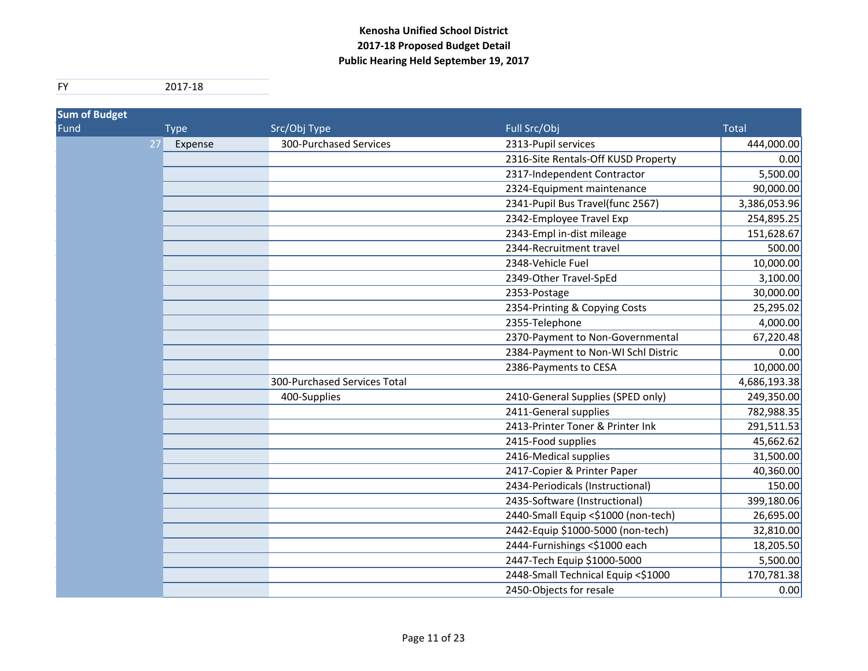| <b>Sum of Budget</b> |             |                              |                                     |              |
|----------------------|-------------|------------------------------|-------------------------------------|--------------|
| Fund                 | <b>Type</b> | Src/Obj Type                 | Full Src/Obj                        | <b>Total</b> |
| 27                   | Expense     | 300-Purchased Services       | 2313-Pupil services                 | 444,000.00   |
|                      |             |                              | 2316-Site Rentals-Off KUSD Property | 0.00         |
|                      |             |                              | 2317-Independent Contractor         | 5,500.00     |
|                      |             |                              | 2324-Equipment maintenance          | 90,000.00    |
|                      |             |                              | 2341-Pupil Bus Travel(func 2567)    | 3,386,053.96 |
|                      |             |                              | 2342-Employee Travel Exp            | 254,895.25   |
|                      |             |                              | 2343-Empl in-dist mileage           | 151,628.67   |
|                      |             |                              | 2344-Recruitment travel             | 500.00       |
|                      |             |                              | 2348-Vehicle Fuel                   | 10,000.00    |
|                      |             |                              | 2349-Other Travel-SpEd              | 3,100.00     |
|                      |             |                              | 2353-Postage                        | 30,000.00    |
|                      |             |                              | 2354-Printing & Copying Costs       | 25,295.02    |
|                      |             |                              | 2355-Telephone                      | 4,000.00     |
|                      |             |                              | 2370-Payment to Non-Governmental    | 67,220.48    |
|                      |             |                              | 2384-Payment to Non-WI Schl Distric | 0.00         |
|                      |             |                              | 2386-Payments to CESA               | 10,000.00    |
|                      |             | 300-Purchased Services Total |                                     | 4,686,193.38 |
|                      |             | 400-Supplies                 | 2410-General Supplies (SPED only)   | 249,350.00   |
|                      |             |                              | 2411-General supplies               | 782,988.35   |
|                      |             |                              | 2413-Printer Toner & Printer Ink    | 291,511.53   |
|                      |             |                              | 2415-Food supplies                  | 45,662.62    |
|                      |             |                              | 2416-Medical supplies               | 31,500.00    |
|                      |             |                              | 2417-Copier & Printer Paper         | 40,360.00    |
|                      |             |                              | 2434-Periodicals (Instructional)    | 150.00       |
|                      |             |                              | 2435-Software (Instructional)       | 399,180.06   |
|                      |             |                              | 2440-Small Equip <\$1000 (non-tech) | 26,695.00    |
|                      |             |                              | 2442-Equip \$1000-5000 (non-tech)   | 32,810.00    |
|                      |             |                              | 2444-Furnishings <\$1000 each       | 18,205.50    |
|                      |             |                              | 2447-Tech Equip \$1000-5000         | 5,500.00     |
|                      |             |                              | 2448-Small Technical Equip <\$1000  | 170,781.38   |
|                      |             |                              | 2450-Objects for resale             | 0.00         |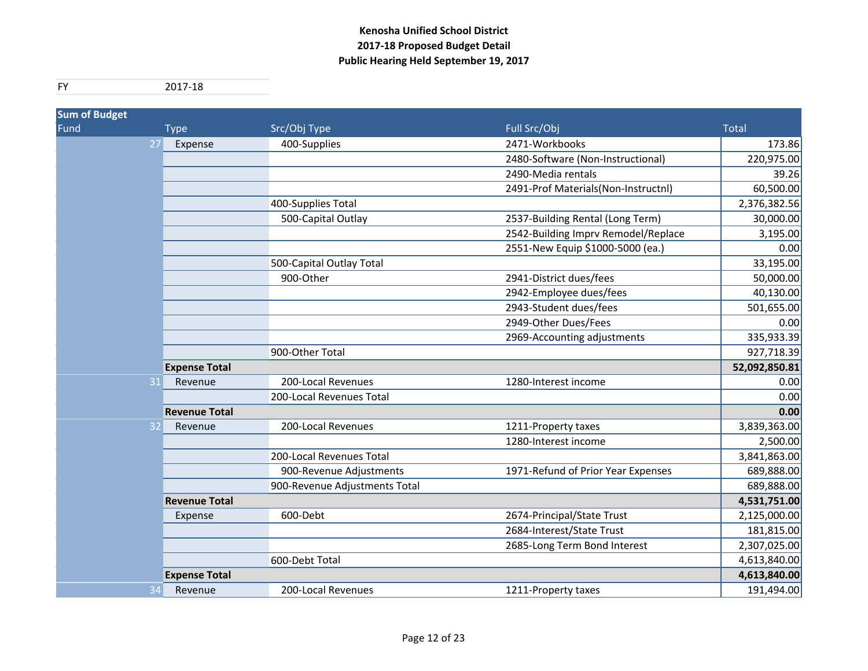| <b>Sum of Budget</b> |                      |                               |                                     |               |
|----------------------|----------------------|-------------------------------|-------------------------------------|---------------|
| Fund                 | <b>Type</b>          | Src/Obj Type                  | Full Src/Obj                        | <b>Total</b>  |
| 27                   | Expense              | 400-Supplies                  | 2471-Workbooks                      | 173.86        |
|                      |                      |                               | 2480-Software (Non-Instructional)   | 220,975.00    |
|                      |                      |                               | 2490-Media rentals                  | 39.26         |
|                      |                      |                               | 2491-Prof Materials(Non-Instructnl) | 60,500.00     |
|                      |                      | 400-Supplies Total            |                                     | 2,376,382.56  |
|                      |                      | 500-Capital Outlay            | 2537-Building Rental (Long Term)    | 30,000.00     |
|                      |                      |                               | 2542-Building Imprv Remodel/Replace | 3,195.00      |
|                      |                      |                               | 2551-New Equip \$1000-5000 (ea.)    | 0.00          |
|                      |                      | 500-Capital Outlay Total      |                                     | 33,195.00     |
|                      |                      | 900-Other                     | 2941-District dues/fees             | 50,000.00     |
|                      |                      |                               | 2942-Employee dues/fees             | 40,130.00     |
|                      |                      |                               | 2943-Student dues/fees              | 501,655.00    |
|                      |                      |                               | 2949-Other Dues/Fees                | 0.00          |
|                      |                      |                               | 2969-Accounting adjustments         | 335,933.39    |
|                      |                      | 900-Other Total               |                                     | 927,718.39    |
|                      | <b>Expense Total</b> |                               |                                     | 52,092,850.81 |
| 31                   | Revenue              | 200-Local Revenues            | 1280-Interest income                | 0.00          |
|                      |                      | 200-Local Revenues Total      |                                     | 0.00          |
|                      | <b>Revenue Total</b> |                               |                                     | 0.00          |
| 32                   | Revenue              | 200-Local Revenues            | 1211-Property taxes                 | 3,839,363.00  |
|                      |                      |                               | 1280-Interest income                | 2,500.00      |
|                      |                      | 200-Local Revenues Total      |                                     | 3,841,863.00  |
|                      |                      | 900-Revenue Adjustments       | 1971-Refund of Prior Year Expenses  | 689,888.00    |
|                      |                      | 900-Revenue Adjustments Total |                                     | 689,888.00    |
|                      | <b>Revenue Total</b> |                               |                                     | 4,531,751.00  |
|                      | Expense              | 600-Debt                      | 2674-Principal/State Trust          | 2,125,000.00  |
|                      |                      |                               | 2684-Interest/State Trust           | 181,815.00    |
|                      |                      |                               | 2685-Long Term Bond Interest        | 2,307,025.00  |
|                      |                      | 600-Debt Total                |                                     | 4,613,840.00  |
|                      | <b>Expense Total</b> |                               |                                     | 4,613,840.00  |
| 34                   | Revenue              | 200-Local Revenues            | 1211-Property taxes                 | 191,494.00    |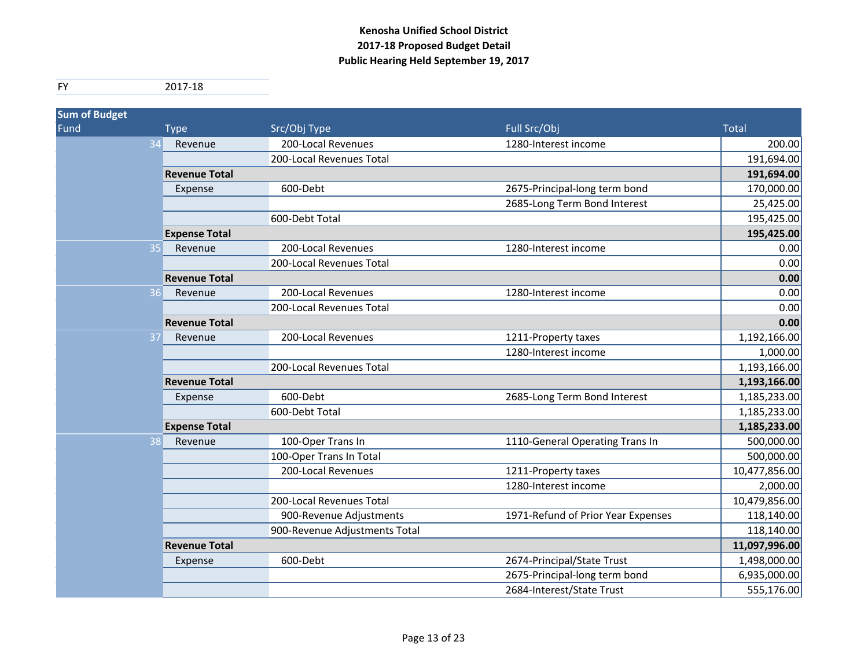| <b>Sum of Budget</b> |                      |                               |                                    |               |
|----------------------|----------------------|-------------------------------|------------------------------------|---------------|
| Fund                 | <b>Type</b>          | Src/Obj Type                  | Full Src/Obj                       | <b>Total</b>  |
|                      | Revenue              | 200-Local Revenues            | 1280-Interest income               | 200.00        |
|                      |                      | 200-Local Revenues Total      |                                    | 191,694.00    |
|                      | <b>Revenue Total</b> |                               |                                    | 191,694.00    |
|                      | Expense              | 600-Debt                      | 2675-Principal-long term bond      | 170,000.00    |
|                      |                      |                               | 2685-Long Term Bond Interest       | 25,425.00     |
|                      |                      | 600-Debt Total                |                                    | 195,425.00    |
|                      | <b>Expense Total</b> |                               |                                    | 195,425.00    |
| 35                   | Revenue              | 200-Local Revenues            | 1280-Interest income               | 0.00          |
|                      |                      | 200-Local Revenues Total      |                                    | 0.00          |
|                      | <b>Revenue Total</b> |                               |                                    | 0.00          |
| 36                   | Revenue              | 200-Local Revenues            | 1280-Interest income               | 0.00          |
|                      |                      | 200-Local Revenues Total      |                                    | 0.00          |
|                      | <b>Revenue Total</b> |                               |                                    | 0.00          |
| 37                   | Revenue              | 200-Local Revenues            | 1211-Property taxes                | 1,192,166.00  |
|                      |                      |                               | 1280-Interest income               | 1,000.00      |
|                      |                      | 200-Local Revenues Total      |                                    | 1,193,166.00  |
|                      | <b>Revenue Total</b> |                               |                                    | 1,193,166.00  |
|                      | Expense              | 600-Debt                      | 2685-Long Term Bond Interest       | 1,185,233.00  |
|                      |                      | 600-Debt Total                |                                    | 1,185,233.00  |
|                      | <b>Expense Total</b> |                               |                                    | 1,185,233.00  |
| 38                   | Revenue              | 100-Oper Trans In             | 1110-General Operating Trans In    | 500,000.00    |
|                      |                      | 100-Oper Trans In Total       |                                    | 500,000.00    |
|                      |                      | 200-Local Revenues            | 1211-Property taxes                | 10,477,856.00 |
|                      |                      |                               | 1280-Interest income               | 2,000.00      |
|                      |                      | 200-Local Revenues Total      |                                    | 10,479,856.00 |
|                      |                      | 900-Revenue Adjustments       | 1971-Refund of Prior Year Expenses | 118,140.00    |
|                      |                      | 900-Revenue Adjustments Total |                                    | 118,140.00    |
|                      | <b>Revenue Total</b> |                               |                                    | 11,097,996.00 |
|                      | Expense              | 600-Debt                      | 2674-Principal/State Trust         | 1,498,000.00  |
|                      |                      |                               | 2675-Principal-long term bond      | 6,935,000.00  |
|                      |                      |                               | 2684-Interest/State Trust          | 555,176.00    |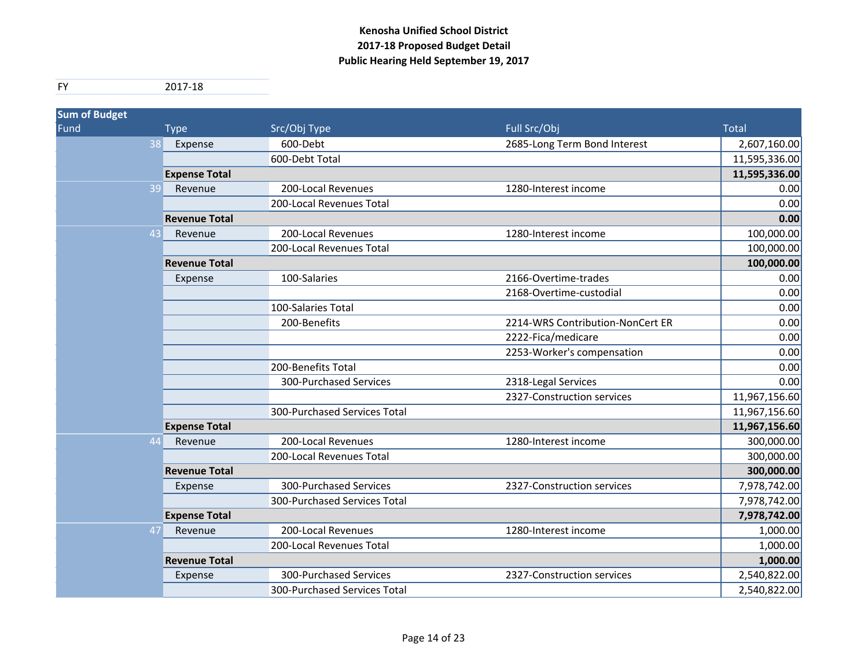| <b>Sum of Budget</b> |                      |                              |                                  |               |
|----------------------|----------------------|------------------------------|----------------------------------|---------------|
| Fund                 | <b>Type</b>          | Src/Obj Type                 | Full Src/Obj                     | <b>Total</b>  |
| 38                   | Expense              | 600-Debt                     | 2685-Long Term Bond Interest     | 2,607,160.00  |
|                      |                      | 600-Debt Total               |                                  | 11,595,336.00 |
|                      | <b>Expense Total</b> |                              |                                  | 11,595,336.00 |
| 39                   | Revenue              | 200-Local Revenues           | 1280-Interest income             | 0.00          |
|                      |                      | 200-Local Revenues Total     |                                  | 0.00          |
|                      | <b>Revenue Total</b> |                              |                                  | 0.00          |
| 43                   | Revenue              | 200-Local Revenues           | 1280-Interest income             | 100,000.00    |
|                      |                      | 200-Local Revenues Total     |                                  | 100,000.00    |
|                      | <b>Revenue Total</b> |                              |                                  | 100,000.00    |
|                      | Expense              | 100-Salaries                 | 2166-Overtime-trades             | 0.00          |
|                      |                      |                              | 2168-Overtime-custodial          | 0.00          |
|                      |                      | 100-Salaries Total           |                                  | 0.00          |
|                      |                      | 200-Benefits                 | 2214-WRS Contribution-NonCert ER | 0.00          |
|                      |                      |                              | 2222-Fica/medicare               | 0.00          |
|                      |                      |                              | 2253-Worker's compensation       | 0.00          |
|                      |                      | 200-Benefits Total           |                                  | 0.00          |
|                      |                      | 300-Purchased Services       | 2318-Legal Services              | 0.00          |
|                      |                      |                              | 2327-Construction services       | 11,967,156.60 |
|                      |                      | 300-Purchased Services Total |                                  | 11,967,156.60 |
|                      | <b>Expense Total</b> |                              |                                  | 11,967,156.60 |
| 44                   | Revenue              | 200-Local Revenues           | 1280-Interest income             | 300,000.00    |
|                      |                      | 200-Local Revenues Total     |                                  | 300,000.00    |
|                      | <b>Revenue Total</b> |                              |                                  | 300,000.00    |
|                      | Expense              | 300-Purchased Services       | 2327-Construction services       | 7,978,742.00  |
|                      |                      | 300-Purchased Services Total |                                  | 7,978,742.00  |
|                      | <b>Expense Total</b> |                              |                                  | 7,978,742.00  |
| 47                   | Revenue              | 200-Local Revenues           | 1280-Interest income             | 1,000.00      |
|                      |                      | 200-Local Revenues Total     |                                  | 1,000.00      |
|                      | <b>Revenue Total</b> |                              |                                  | 1,000.00      |
|                      | Expense              | 300-Purchased Services       | 2327-Construction services       | 2,540,822.00  |
|                      |                      | 300-Purchased Services Total |                                  | 2,540,822.00  |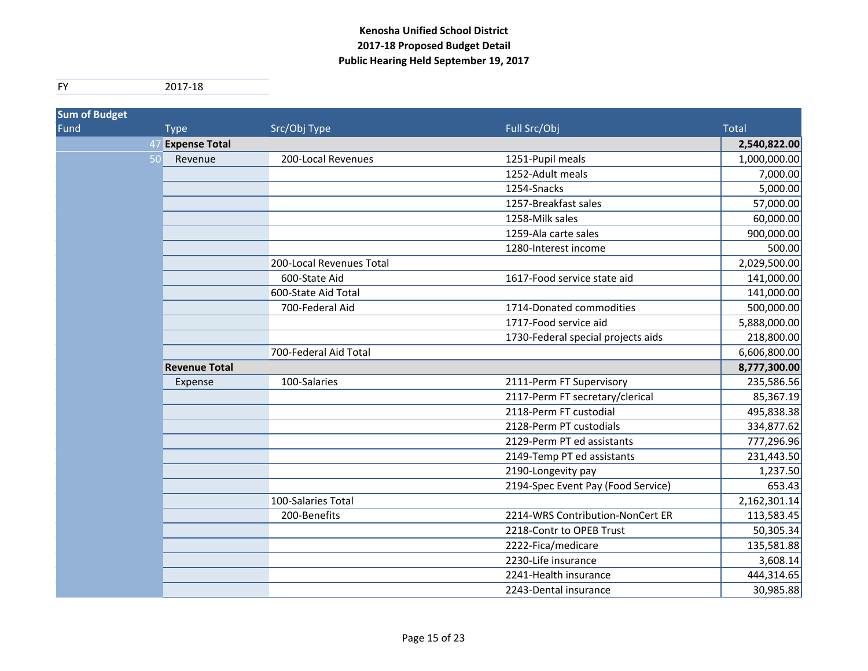| <b>Sum of Budget</b> |    |                      |                          |                                    |              |
|----------------------|----|----------------------|--------------------------|------------------------------------|--------------|
| Fund                 |    | <b>Type</b>          | Src/Obj Type             | Full Src/Obj                       | <b>Total</b> |
|                      | 47 | <b>Expense Total</b> |                          |                                    | 2,540,822.00 |
|                      | 50 | Revenue              | 200-Local Revenues       | 1251-Pupil meals                   | 1,000,000.00 |
|                      |    |                      |                          | 1252-Adult meals                   | 7,000.00     |
|                      |    |                      |                          | 1254-Snacks                        | 5,000.00     |
|                      |    |                      |                          | 1257-Breakfast sales               | 57,000.00    |
|                      |    |                      |                          | 1258-Milk sales                    | 60,000.00    |
|                      |    |                      |                          | 1259-Ala carte sales               | 900,000.00   |
|                      |    |                      |                          | 1280-Interest income               | 500.00       |
|                      |    |                      | 200-Local Revenues Total |                                    | 2,029,500.00 |
|                      |    |                      | 600-State Aid            | 1617-Food service state aid        | 141,000.00   |
|                      |    |                      | 600-State Aid Total      |                                    | 141,000.00   |
|                      |    |                      | 700-Federal Aid          | 1714-Donated commodities           | 500,000.00   |
|                      |    |                      |                          | 1717-Food service aid              | 5,888,000.00 |
|                      |    |                      |                          | 1730-Federal special projects aids | 218,800.00   |
|                      |    |                      | 700-Federal Aid Total    |                                    | 6,606,800.00 |
|                      |    | <b>Revenue Total</b> |                          |                                    | 8,777,300.00 |
|                      |    | Expense              | 100-Salaries             | 2111-Perm FT Supervisory           | 235,586.56   |
|                      |    |                      |                          | 2117-Perm FT secretary/clerical    | 85,367.19    |
|                      |    |                      |                          | 2118-Perm FT custodial             | 495,838.38   |
|                      |    |                      |                          | 2128-Perm PT custodials            | 334,877.62   |
|                      |    |                      |                          | 2129-Perm PT ed assistants         | 777,296.96   |
|                      |    |                      |                          | 2149-Temp PT ed assistants         | 231,443.50   |
|                      |    |                      |                          | 2190-Longevity pay                 | 1,237.50     |
|                      |    |                      |                          | 2194-Spec Event Pay (Food Service) | 653.43       |
|                      |    |                      | 100-Salaries Total       |                                    | 2,162,301.14 |
|                      |    |                      | 200-Benefits             | 2214-WRS Contribution-NonCert ER   | 113,583.45   |
|                      |    |                      |                          | 2218-Contr to OPEB Trust           | 50,305.34    |
|                      |    |                      |                          | 2222-Fica/medicare                 | 135,581.88   |
|                      |    |                      |                          | 2230-Life insurance                | 3,608.14     |
|                      |    |                      |                          | 2241-Health insurance              | 444,314.65   |
|                      |    |                      |                          | 2243-Dental insurance              | 30,985.88    |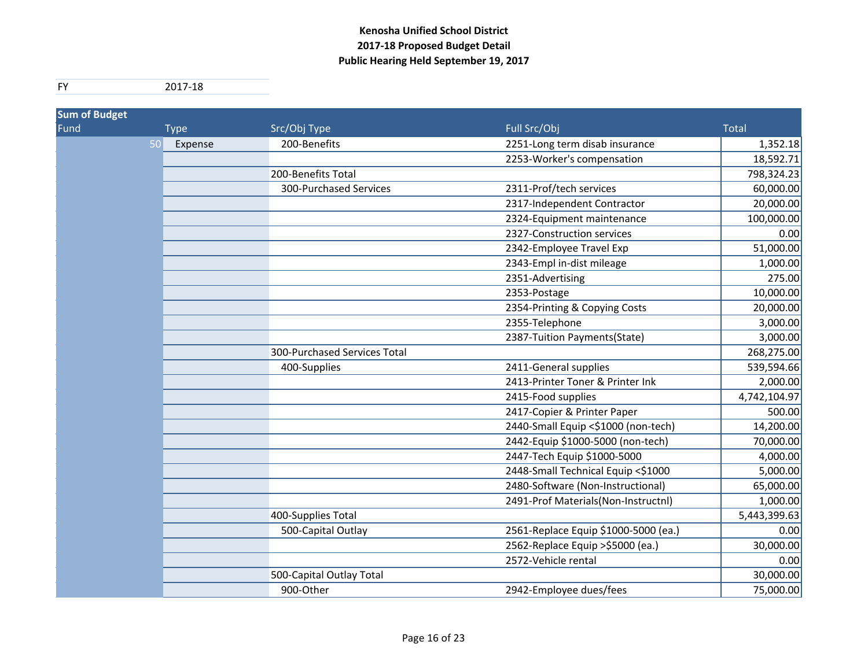| <b>Sum of Budget</b> |             |                              |                                      |              |
|----------------------|-------------|------------------------------|--------------------------------------|--------------|
| Fund                 | <b>Type</b> | Src/Obj Type                 | Full Src/Obj                         | <b>Total</b> |
| 50                   | Expense     | 200-Benefits                 | 2251-Long term disab insurance       | 1,352.18     |
|                      |             |                              | 2253-Worker's compensation           | 18,592.71    |
|                      |             | 200-Benefits Total           |                                      | 798,324.23   |
|                      |             | 300-Purchased Services       | 2311-Prof/tech services              | 60,000.00    |
|                      |             |                              | 2317-Independent Contractor          | 20,000.00    |
|                      |             |                              | 2324-Equipment maintenance           | 100,000.00   |
|                      |             |                              | 2327-Construction services           | 0.00         |
|                      |             |                              | 2342-Employee Travel Exp             | 51,000.00    |
|                      |             |                              | 2343-Empl in-dist mileage            | 1,000.00     |
|                      |             |                              | 2351-Advertising                     | 275.00       |
|                      |             |                              | 2353-Postage                         | 10,000.00    |
|                      |             |                              | 2354-Printing & Copying Costs        | 20,000.00    |
|                      |             |                              | 2355-Telephone                       | 3,000.00     |
|                      |             |                              | 2387-Tuition Payments(State)         | 3,000.00     |
|                      |             | 300-Purchased Services Total |                                      | 268,275.00   |
|                      |             | 400-Supplies                 | 2411-General supplies                | 539,594.66   |
|                      |             |                              | 2413-Printer Toner & Printer Ink     | 2,000.00     |
|                      |             |                              | 2415-Food supplies                   | 4,742,104.97 |
|                      |             |                              | 2417-Copier & Printer Paper          | 500.00       |
|                      |             |                              | 2440-Small Equip <\$1000 (non-tech)  | 14,200.00    |
|                      |             |                              | 2442-Equip \$1000-5000 (non-tech)    | 70,000.00    |
|                      |             |                              | 2447-Tech Equip \$1000-5000          | 4,000.00     |
|                      |             |                              | 2448-Small Technical Equip <\$1000   | 5,000.00     |
|                      |             |                              | 2480-Software (Non-Instructional)    | 65,000.00    |
|                      |             |                              | 2491-Prof Materials(Non-Instructnl)  | 1,000.00     |
|                      |             | 400-Supplies Total           |                                      | 5,443,399.63 |
|                      |             | 500-Capital Outlay           | 2561-Replace Equip \$1000-5000 (ea.) | 0.00         |
|                      |             |                              | 2562-Replace Equip > \$5000 (ea.)    | 30,000.00    |
|                      |             |                              | 2572-Vehicle rental                  | 0.00         |
|                      |             | 500-Capital Outlay Total     |                                      | 30,000.00    |
|                      |             | 900-Other                    | 2942-Employee dues/fees              | 75,000.00    |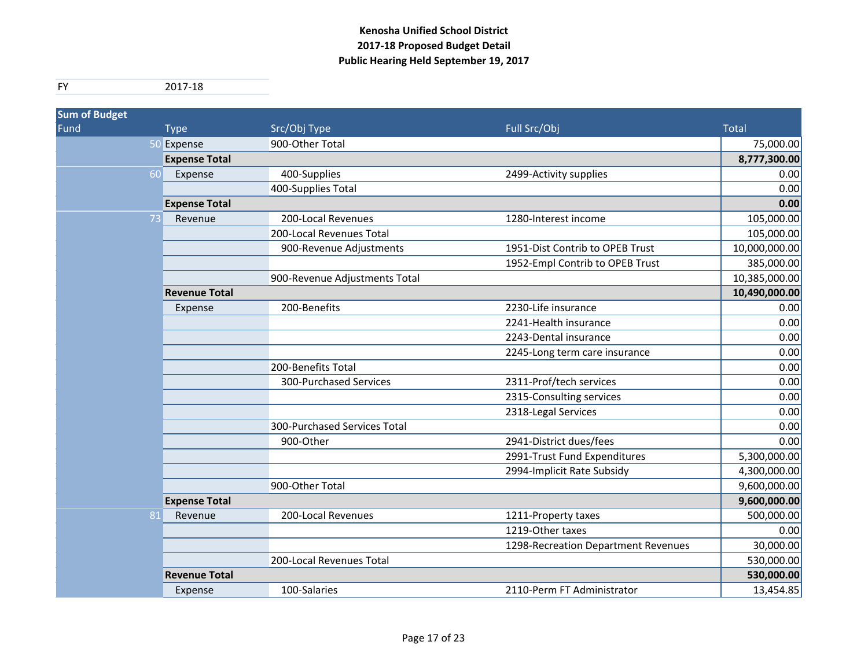| <b>Sum of Budget</b> |                      |                               |                                     |               |
|----------------------|----------------------|-------------------------------|-------------------------------------|---------------|
| Fund                 | <b>Type</b>          | Src/Obj Type                  | Full Src/Obj                        | <b>Total</b>  |
|                      | 50 Expense           | 900-Other Total               |                                     | 75,000.00     |
|                      | <b>Expense Total</b> |                               |                                     | 8,777,300.00  |
| 60                   | Expense              | 400-Supplies                  | 2499-Activity supplies              | 0.00          |
|                      |                      | 400-Supplies Total            |                                     | 0.00          |
|                      | <b>Expense Total</b> |                               |                                     | 0.00          |
| 73                   | Revenue              | 200-Local Revenues            | 1280-Interest income                | 105,000.00    |
|                      |                      | 200-Local Revenues Total      |                                     | 105,000.00    |
|                      |                      | 900-Revenue Adjustments       | 1951-Dist Contrib to OPEB Trust     | 10,000,000.00 |
|                      |                      |                               | 1952-Empl Contrib to OPEB Trust     | 385,000.00    |
|                      |                      | 900-Revenue Adjustments Total |                                     | 10,385,000.00 |
|                      | <b>Revenue Total</b> |                               |                                     | 10,490,000.00 |
|                      | Expense              | 200-Benefits                  | 2230-Life insurance                 | 0.00          |
|                      |                      |                               | 2241-Health insurance               | 0.00          |
|                      |                      |                               | 2243-Dental insurance               | 0.00          |
|                      |                      |                               | 2245-Long term care insurance       | 0.00          |
|                      |                      | 200-Benefits Total            |                                     | 0.00          |
|                      |                      | 300-Purchased Services        | 2311-Prof/tech services             | 0.00          |
|                      |                      |                               | 2315-Consulting services            | 0.00          |
|                      |                      |                               | 2318-Legal Services                 | 0.00          |
|                      |                      | 300-Purchased Services Total  |                                     | 0.00          |
|                      |                      | 900-Other                     | 2941-District dues/fees             | 0.00          |
|                      |                      |                               | 2991-Trust Fund Expenditures        | 5,300,000.00  |
|                      |                      |                               | 2994-Implicit Rate Subsidy          | 4,300,000.00  |
|                      |                      | 900-Other Total               |                                     | 9,600,000.00  |
|                      | <b>Expense Total</b> |                               |                                     | 9,600,000.00  |
| 81                   | Revenue              | 200-Local Revenues            | 1211-Property taxes                 | 500,000.00    |
|                      |                      |                               | 1219-Other taxes                    | 0.00          |
|                      |                      |                               | 1298-Recreation Department Revenues | 30,000.00     |
|                      |                      | 200-Local Revenues Total      |                                     | 530,000.00    |
|                      | <b>Revenue Total</b> |                               |                                     | 530,000.00    |
|                      | Expense              | 100-Salaries                  | 2110-Perm FT Administrator          | 13,454.85     |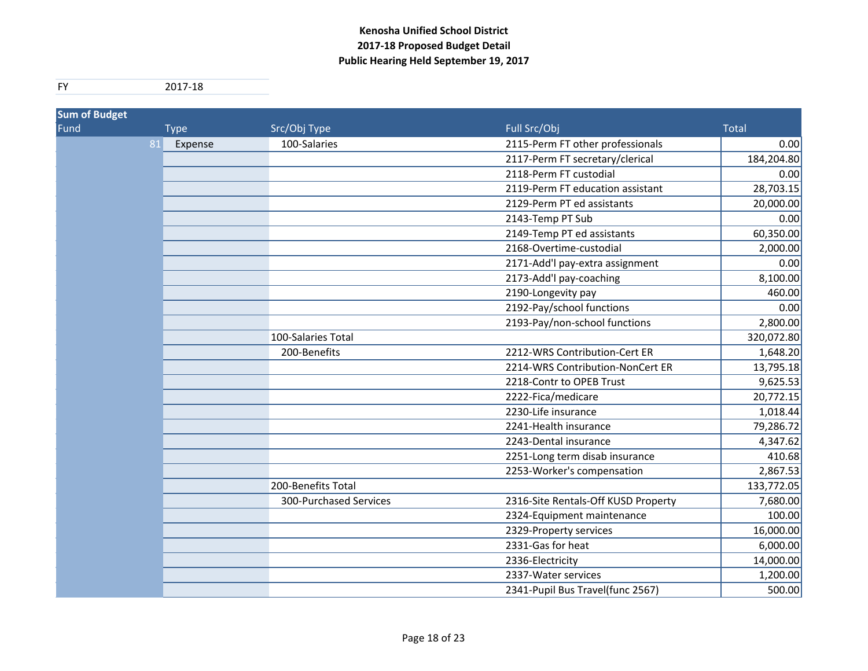| <b>Sum of Budget</b> |               |                        |                                     |              |
|----------------------|---------------|------------------------|-------------------------------------|--------------|
| Fund                 | <b>Type</b>   | Src/Obj Type           | Full Src/Obj                        | <b>Total</b> |
|                      | 81<br>Expense | 100-Salaries           | 2115-Perm FT other professionals    | 0.00         |
|                      |               |                        | 2117-Perm FT secretary/clerical     | 184,204.80   |
|                      |               |                        | 2118-Perm FT custodial              | 0.00         |
|                      |               |                        | 2119-Perm FT education assistant    | 28,703.15    |
|                      |               |                        | 2129-Perm PT ed assistants          | 20,000.00    |
|                      |               |                        | 2143-Temp PT Sub                    | 0.00         |
|                      |               |                        | 2149-Temp PT ed assistants          | 60,350.00    |
|                      |               |                        | 2168-Overtime-custodial             | 2,000.00     |
|                      |               |                        | 2171-Add'l pay-extra assignment     | 0.00         |
|                      |               |                        | 2173-Add'l pay-coaching             | 8,100.00     |
|                      |               |                        | 2190-Longevity pay                  | 460.00       |
|                      |               |                        | 2192-Pay/school functions           | 0.00         |
|                      |               |                        | 2193-Pay/non-school functions       | 2,800.00     |
|                      |               | 100-Salaries Total     |                                     | 320,072.80   |
|                      |               | 200-Benefits           | 2212-WRS Contribution-Cert ER       | 1,648.20     |
|                      |               |                        | 2214-WRS Contribution-NonCert ER    | 13,795.18    |
|                      |               |                        | 2218-Contr to OPEB Trust            | 9,625.53     |
|                      |               |                        | 2222-Fica/medicare                  | 20,772.15    |
|                      |               |                        | 2230-Life insurance                 | 1,018.44     |
|                      |               |                        | 2241-Health insurance               | 79,286.72    |
|                      |               |                        | 2243-Dental insurance               | 4,347.62     |
|                      |               |                        | 2251-Long term disab insurance      | 410.68       |
|                      |               |                        | 2253-Worker's compensation          | 2,867.53     |
|                      |               | 200-Benefits Total     |                                     | 133,772.05   |
|                      |               | 300-Purchased Services | 2316-Site Rentals-Off KUSD Property | 7,680.00     |
|                      |               |                        | 2324-Equipment maintenance          | 100.00       |
|                      |               |                        | 2329-Property services              | 16,000.00    |
|                      |               |                        | 2331-Gas for heat                   | 6,000.00     |
|                      |               |                        | 2336-Electricity                    | 14,000.00    |
|                      |               |                        | 2337-Water services                 | 1,200.00     |
|                      |               |                        | 2341-Pupil Bus Travel(func 2567)    | 500.00       |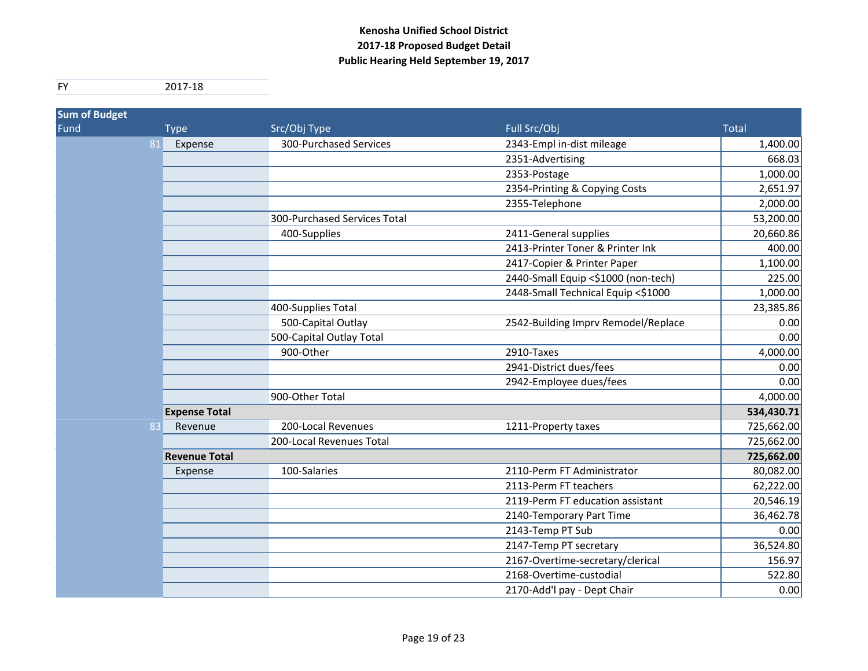| <b>Sum of Budget</b> |                      |                              |                                     |            |
|----------------------|----------------------|------------------------------|-------------------------------------|------------|
| Fund                 | <b>Type</b>          | Src/Obj Type                 | Full Src/Obj                        | Total      |
| 81                   | Expense              | 300-Purchased Services       | 2343-Empl in-dist mileage           | 1,400.00   |
|                      |                      |                              | 2351-Advertising                    | 668.03     |
|                      |                      |                              | 2353-Postage                        | 1,000.00   |
|                      |                      |                              | 2354-Printing & Copying Costs       | 2,651.97   |
|                      |                      |                              | 2355-Telephone                      | 2,000.00   |
|                      |                      | 300-Purchased Services Total |                                     | 53,200.00  |
|                      |                      | 400-Supplies                 | 2411-General supplies               | 20,660.86  |
|                      |                      |                              | 2413-Printer Toner & Printer Ink    | 400.00     |
|                      |                      |                              | 2417-Copier & Printer Paper         | 1,100.00   |
|                      |                      |                              | 2440-Small Equip <\$1000 (non-tech) | 225.00     |
|                      |                      |                              | 2448-Small Technical Equip <\$1000  | 1,000.00   |
|                      |                      | 400-Supplies Total           |                                     | 23,385.86  |
|                      |                      | 500-Capital Outlay           | 2542-Building Imprv Remodel/Replace | 0.00       |
|                      |                      | 500-Capital Outlay Total     |                                     | 0.00       |
|                      |                      | 900-Other                    | 2910-Taxes                          | 4,000.00   |
|                      |                      |                              | 2941-District dues/fees             | 0.00       |
|                      |                      |                              | 2942-Employee dues/fees             | 0.00       |
|                      |                      | 900-Other Total              |                                     | 4,000.00   |
|                      | <b>Expense Total</b> |                              |                                     | 534,430.71 |
| 83                   | Revenue              | 200-Local Revenues           | 1211-Property taxes                 | 725,662.00 |
|                      |                      | 200-Local Revenues Total     |                                     | 725,662.00 |
|                      | <b>Revenue Total</b> |                              |                                     | 725,662.00 |
|                      | Expense              | 100-Salaries                 | 2110-Perm FT Administrator          | 80,082.00  |
|                      |                      |                              | 2113-Perm FT teachers               | 62,222.00  |
|                      |                      |                              | 2119-Perm FT education assistant    | 20,546.19  |
|                      |                      |                              | 2140-Temporary Part Time            | 36,462.78  |
|                      |                      |                              | 2143-Temp PT Sub                    | 0.00       |
|                      |                      |                              | 2147-Temp PT secretary              | 36,524.80  |
|                      |                      |                              | 2167-Overtime-secretary/clerical    | 156.97     |
|                      |                      |                              | 2168-Overtime-custodial             | 522.80     |
|                      |                      |                              | 2170-Add'l pay - Dept Chair         | 0.00       |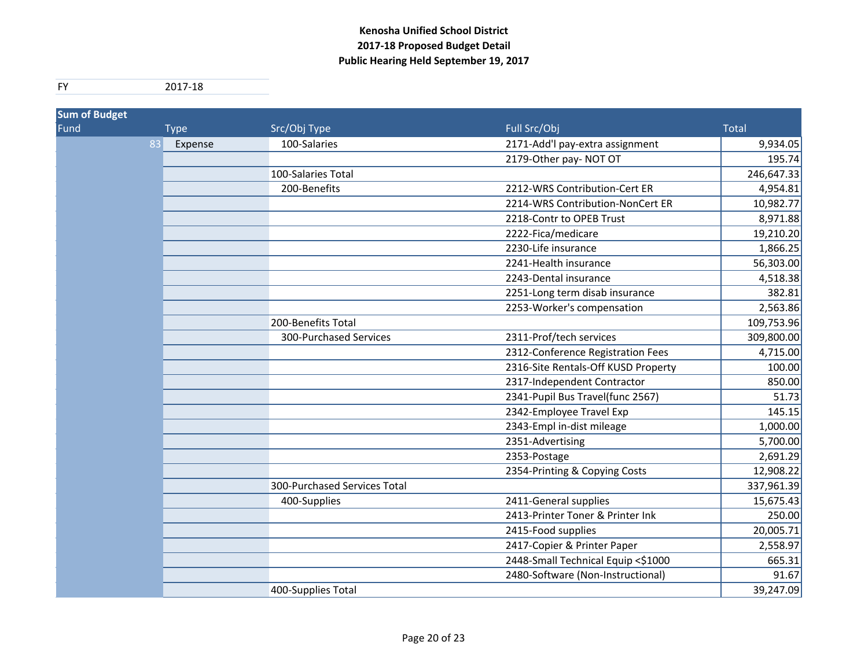| <b>Sum of Budget</b> |               |                              |                                     |              |
|----------------------|---------------|------------------------------|-------------------------------------|--------------|
| Fund                 | <b>Type</b>   | Src/Obj Type                 | Full Src/Obj                        | <b>Total</b> |
|                      | 83<br>Expense | 100-Salaries                 | 2171-Add'l pay-extra assignment     | 9,934.05     |
|                      |               |                              | 2179-Other pay- NOT OT              | 195.74       |
|                      |               | 100-Salaries Total           |                                     | 246,647.33   |
|                      |               | 200-Benefits                 | 2212-WRS Contribution-Cert ER       | 4,954.81     |
|                      |               |                              | 2214-WRS Contribution-NonCert ER    | 10,982.77    |
|                      |               |                              | 2218-Contr to OPEB Trust            | 8,971.88     |
|                      |               |                              | 2222-Fica/medicare                  | 19,210.20    |
|                      |               |                              | 2230-Life insurance                 | 1,866.25     |
|                      |               |                              | 2241-Health insurance               | 56,303.00    |
|                      |               |                              | 2243-Dental insurance               | 4,518.38     |
|                      |               |                              | 2251-Long term disab insurance      | 382.81       |
|                      |               |                              | 2253-Worker's compensation          | 2,563.86     |
|                      |               | 200-Benefits Total           |                                     | 109,753.96   |
|                      |               | 300-Purchased Services       | 2311-Prof/tech services             | 309,800.00   |
|                      |               |                              | 2312-Conference Registration Fees   | 4,715.00     |
|                      |               |                              | 2316-Site Rentals-Off KUSD Property | 100.00       |
|                      |               |                              | 2317-Independent Contractor         | 850.00       |
|                      |               |                              | 2341-Pupil Bus Travel(func 2567)    | 51.73        |
|                      |               |                              | 2342-Employee Travel Exp            | 145.15       |
|                      |               |                              | 2343-Empl in-dist mileage           | 1,000.00     |
|                      |               |                              | 2351-Advertising                    | 5,700.00     |
|                      |               |                              | 2353-Postage                        | 2,691.29     |
|                      |               |                              | 2354-Printing & Copying Costs       | 12,908.22    |
|                      |               | 300-Purchased Services Total |                                     | 337,961.39   |
|                      |               | 400-Supplies                 | 2411-General supplies               | 15,675.43    |
|                      |               |                              | 2413-Printer Toner & Printer Ink    | 250.00       |
|                      |               |                              | 2415-Food supplies                  | 20,005.71    |
|                      |               |                              | 2417-Copier & Printer Paper         | 2,558.97     |
|                      |               |                              | 2448-Small Technical Equip <\$1000  | 665.31       |
|                      |               |                              | 2480-Software (Non-Instructional)   | 91.67        |
|                      |               | 400-Supplies Total           |                                     | 39,247.09    |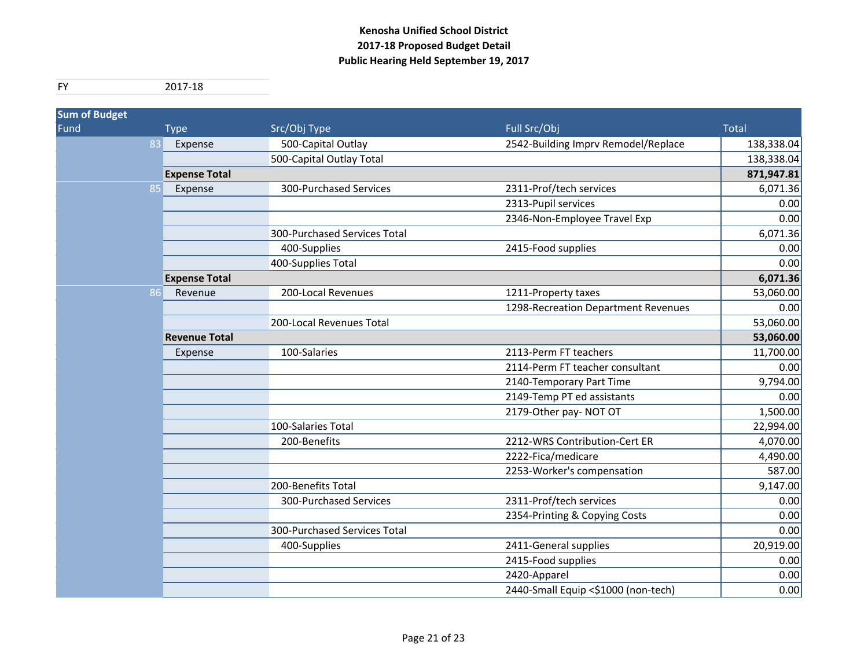| <b>Sum of Budget</b> |                      |                              |                                     |              |
|----------------------|----------------------|------------------------------|-------------------------------------|--------------|
| Fund <sup>'</sup>    | <b>Type</b>          | Src/Obj Type                 | Full Src/Obj                        | <b>Total</b> |
| 83                   | Expense              | 500-Capital Outlay           | 2542-Building Imprv Remodel/Replace | 138,338.04   |
|                      |                      | 500-Capital Outlay Total     |                                     | 138,338.04   |
|                      | <b>Expense Total</b> |                              |                                     | 871,947.81   |
| 85                   | Expense              | 300-Purchased Services       | 2311-Prof/tech services             | 6,071.36     |
|                      |                      |                              | 2313-Pupil services                 | 0.00         |
|                      |                      |                              | 2346-Non-Employee Travel Exp        | 0.00         |
|                      |                      | 300-Purchased Services Total |                                     | 6,071.36     |
|                      |                      | 400-Supplies                 | 2415-Food supplies                  | 0.00         |
|                      |                      | 400-Supplies Total           |                                     | 0.00         |
|                      | <b>Expense Total</b> |                              |                                     | 6,071.36     |
| 86                   | Revenue              | 200-Local Revenues           | 1211-Property taxes                 | 53,060.00    |
|                      |                      |                              | 1298-Recreation Department Revenues | 0.00         |
|                      |                      | 200-Local Revenues Total     |                                     | 53,060.00    |
|                      | <b>Revenue Total</b> |                              |                                     | 53,060.00    |
|                      | Expense              | 100-Salaries                 | 2113-Perm FT teachers               | 11,700.00    |
|                      |                      |                              | 2114-Perm FT teacher consultant     | 0.00         |
|                      |                      |                              | 2140-Temporary Part Time            | 9,794.00     |
|                      |                      |                              | 2149-Temp PT ed assistants          | 0.00         |
|                      |                      |                              | 2179-Other pay- NOT OT              | 1,500.00     |
|                      |                      | 100-Salaries Total           |                                     | 22,994.00    |
|                      |                      | 200-Benefits                 | 2212-WRS Contribution-Cert ER       | 4,070.00     |
|                      |                      |                              | 2222-Fica/medicare                  | 4,490.00     |
|                      |                      |                              | 2253-Worker's compensation          | 587.00       |
|                      |                      | 200-Benefits Total           |                                     | 9,147.00     |
|                      |                      | 300-Purchased Services       | 2311-Prof/tech services             | 0.00         |
|                      |                      |                              | 2354-Printing & Copying Costs       | 0.00         |
|                      |                      | 300-Purchased Services Total |                                     | 0.00         |
|                      |                      | 400-Supplies                 | 2411-General supplies               | 20,919.00    |
|                      |                      |                              | 2415-Food supplies                  | 0.00         |
|                      |                      |                              | 2420-Apparel                        | 0.00         |
|                      |                      |                              | 2440-Small Equip <\$1000 (non-tech) | 0.00         |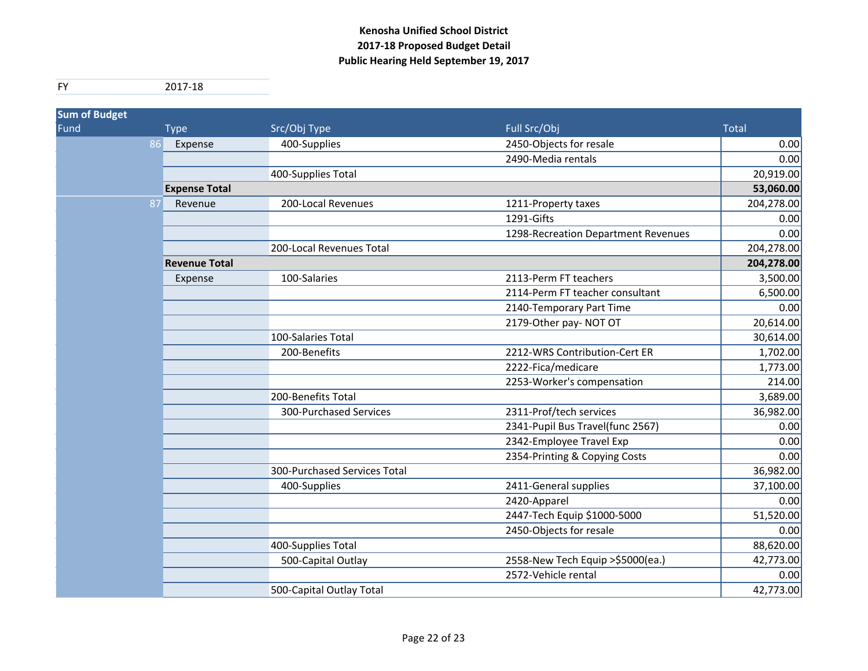| <b>Sum of Budget</b> |    |                      |                              |                                     |              |
|----------------------|----|----------------------|------------------------------|-------------------------------------|--------------|
| Fund <sup>'</sup>    |    | <b>Type</b>          | Src/Obj Type                 | Full Src/Obj                        | <b>Total</b> |
|                      | 86 | Expense              | 400-Supplies                 | 2450-Objects for resale             | 0.00         |
|                      |    |                      |                              | 2490-Media rentals                  | 0.00         |
|                      |    |                      | 400-Supplies Total           |                                     | 20,919.00    |
|                      |    | <b>Expense Total</b> |                              |                                     | 53,060.00    |
|                      | 87 | Revenue              | 200-Local Revenues           | 1211-Property taxes                 | 204,278.00   |
|                      |    |                      |                              | 1291-Gifts                          | 0.00         |
|                      |    |                      |                              | 1298-Recreation Department Revenues | 0.00         |
|                      |    |                      | 200-Local Revenues Total     |                                     | 204,278.00   |
|                      |    | <b>Revenue Total</b> |                              |                                     | 204,278.00   |
|                      |    | Expense              | 100-Salaries                 | 2113-Perm FT teachers               | 3,500.00     |
|                      |    |                      |                              | 2114-Perm FT teacher consultant     | 6,500.00     |
|                      |    |                      |                              | 2140-Temporary Part Time            | 0.00         |
|                      |    |                      |                              | 2179-Other pay- NOT OT              | 20,614.00    |
|                      |    |                      | 100-Salaries Total           |                                     | 30,614.00    |
|                      |    |                      | 200-Benefits                 | 2212-WRS Contribution-Cert ER       | 1,702.00     |
|                      |    |                      |                              | 2222-Fica/medicare                  | 1,773.00     |
|                      |    |                      |                              | 2253-Worker's compensation          | 214.00       |
|                      |    |                      | 200-Benefits Total           |                                     | 3,689.00     |
|                      |    |                      | 300-Purchased Services       | 2311-Prof/tech services             | 36,982.00    |
|                      |    |                      |                              | 2341-Pupil Bus Travel(func 2567)    | 0.00         |
|                      |    |                      |                              | 2342-Employee Travel Exp            | 0.00         |
|                      |    |                      |                              | 2354-Printing & Copying Costs       | 0.00         |
|                      |    |                      | 300-Purchased Services Total |                                     | 36,982.00    |
|                      |    |                      | 400-Supplies                 | 2411-General supplies               | 37,100.00    |
|                      |    |                      |                              | 2420-Apparel                        | 0.00         |
|                      |    |                      |                              | 2447-Tech Equip \$1000-5000         | 51,520.00    |
|                      |    |                      |                              | 2450-Objects for resale             | 0.00         |
|                      |    |                      | 400-Supplies Total           |                                     | 88,620.00    |
|                      |    |                      | 500-Capital Outlay           | 2558-New Tech Equip > \$5000(ea.)   | 42,773.00    |
|                      |    |                      |                              | 2572-Vehicle rental                 | 0.00         |
|                      |    |                      | 500-Capital Outlay Total     |                                     | 42,773.00    |